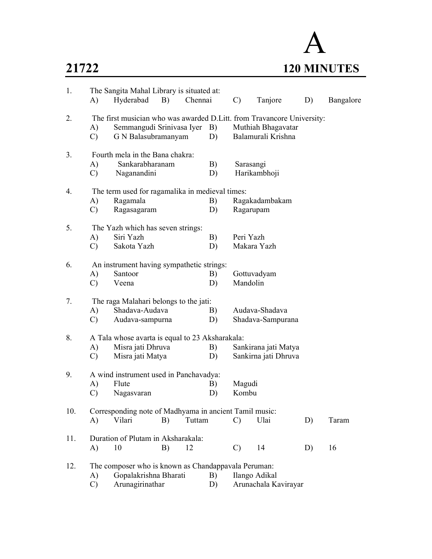

| 1.  | A)                  | The Sangita Mahal Library is situated at:<br>Hyderabad B)                                                                  |          | Chennai |          | $\mathcal{C}$ | Tanjore                                  | D) | Bangalore |
|-----|---------------------|----------------------------------------------------------------------------------------------------------------------------|----------|---------|----------|---------------|------------------------------------------|----|-----------|
| 2.  | A)<br>$\mathcal{C}$ | The first musician who was awarded D.Litt. from Travancore University:<br>Semmangudi Srinivasa Iyer<br>G N Balasubramanyam |          |         | B)<br>D) |               | Muthiah Bhagavatar<br>Balamurali Krishna |    |           |
| 3.  | A)<br>$\mathcal{C}$ | Fourth mela in the Bana chakra:<br>Sankarabharanam<br>Naganandini                                                          |          |         | B)<br>D) | Sarasangi     | Harikambhoji                             |    |           |
| 4.  |                     | The term used for ragamalika in medieval times:                                                                            |          |         |          |               |                                          |    |           |
|     | A)                  | Ragamala                                                                                                                   |          |         | B)       |               | Ragakadambakam                           |    |           |
|     | $\mathcal{C}$       | Ragasagaram                                                                                                                |          |         | D)       | Ragarupam     |                                          |    |           |
| 5.  |                     | The Yazh which has seven strings:                                                                                          |          |         |          |               |                                          |    |           |
|     | A)                  | Siri Yazh                                                                                                                  |          |         | B)       | Peri Yazh     |                                          |    |           |
|     | $\mathcal{C}$       | Sakota Yazh                                                                                                                |          |         | D)       |               | Makara Yazh                              |    |           |
| 6.  |                     | An instrument having sympathetic strings:                                                                                  |          |         |          |               |                                          |    |           |
|     | A)                  | Santoor                                                                                                                    |          |         | B)       |               | Gottuvadyam                              |    |           |
|     | $\mathcal{C}$       | Veena                                                                                                                      |          |         | D)       | Mandolin      |                                          |    |           |
| 7.  |                     | The raga Malahari belongs to the jati:                                                                                     |          |         |          |               |                                          |    |           |
|     | A)                  | Shadava-Audava                                                                                                             |          |         | B)       |               | Audava-Shadava                           |    |           |
|     | $\mathcal{C}$       | Audava-sampurna                                                                                                            |          |         | D)       |               | Shadava-Sampurana                        |    |           |
| 8.  |                     | A Tala whose avarta is equal to 23 Aksharakala:                                                                            |          |         |          |               |                                          |    |           |
|     | A)                  | Misra jati Dhruva                                                                                                          |          |         | B)       |               | Sankirana jati Matya                     |    |           |
|     | C)                  | Misra jati Matya                                                                                                           |          |         | D)       |               | Sankirna jati Dhruva                     |    |           |
| 9.  |                     | A wind instrument used in Panchavadya:                                                                                     |          |         |          |               |                                          |    |           |
|     | A)                  | Flute                                                                                                                      |          |         | B)       | Magudi        |                                          |    |           |
|     | $\mathcal{C}$       | Nagasvaran                                                                                                                 |          |         | D)       | Kombu         |                                          |    |           |
| 10. |                     | Corresponding note of Madhyama in ancient Tamil music:                                                                     |          |         |          |               |                                          |    |           |
|     | A)                  | Vilari                                                                                                                     | B)       | Tuttam  |          | $\mathcal{C}$ | Ulai                                     | D) | Taram     |
| 11. |                     | Duration of Plutam in Aksharakala:                                                                                         |          |         |          |               |                                          |    |           |
|     | A)                  | 10                                                                                                                         | 12<br>B) |         |          | $\mathcal{C}$ | 14                                       | D) | 16        |
| 12. |                     | The composer who is known as Chandappavala Peruman:                                                                        |          |         |          |               |                                          |    |           |
|     | A)                  | Gopalakrishna Bharati                                                                                                      |          |         | B)       |               | Ilango Adikal                            |    |           |
|     | $\mathcal{C}$       | Arunagirinathar                                                                                                            |          |         | D)       |               | Arunachala Kavirayar                     |    |           |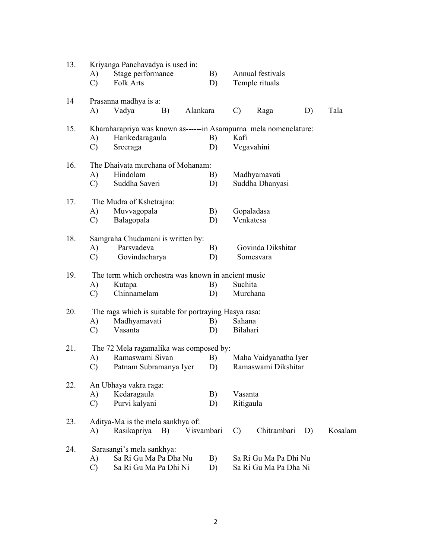| 13. |               | Kriyanga Panchavadya is used in:                                 |            |               |                       |    |         |
|-----|---------------|------------------------------------------------------------------|------------|---------------|-----------------------|----|---------|
|     | A)            | Stage performance                                                | B)         |               | Annual festivals      |    |         |
|     | $\mathcal{C}$ | Folk Arts                                                        | D)         |               | Temple rituals        |    |         |
| 14  |               | Prasanna madhya is a:                                            |            |               |                       |    |         |
|     | A)            | Vadya<br>B)                                                      | Alankara   | $\mathcal{C}$ | Raga                  | D) | Tala    |
| 15. |               | Kharaharapriya was known as------in Asampurna mela nomenclature: |            |               |                       |    |         |
|     | A)            | Harikedaragaula                                                  | B)         | Kafi          |                       |    |         |
|     | $\mathcal{C}$ | Sreeraga                                                         | D)         | Vegavahini    |                       |    |         |
| 16. |               | The Dhaivata murchana of Mohanam:                                |            |               |                       |    |         |
|     | A)            | Hindolam                                                         | B)         |               | Madhyamavati          |    |         |
|     | $\mathcal{C}$ | Suddha Saveri                                                    | D)         |               | Suddha Dhanyasi       |    |         |
| 17. |               | The Mudra of Kshetrajna:                                         |            |               |                       |    |         |
|     | A)            | Muvvagopala                                                      | B)         | Gopaladasa    |                       |    |         |
|     | $\mathcal{C}$ | Balagopala                                                       | D)         | Venkatesa     |                       |    |         |
| 18. |               | Samgraha Chudamani is written by:                                |            |               |                       |    |         |
|     | A)            | Parsvadeva                                                       | B)         |               | Govinda Dikshitar     |    |         |
|     | $\mathcal{C}$ | Govindacharya                                                    | D)         |               | Somesvara             |    |         |
| 19. |               | The term which orchestra was known in ancient music              |            |               |                       |    |         |
|     | A)            | Kutapa                                                           | B)         | Suchita       |                       |    |         |
|     | $\mathcal{C}$ | Chinnamelam                                                      | D)         | Murchana      |                       |    |         |
| 20. |               | The raga which is suitable for portraying Hasya rasa:            |            |               |                       |    |         |
|     | A)            | Madhyamavati                                                     | B)         | Sahana        |                       |    |         |
|     | $\mathcal{C}$ | Vasanta                                                          | D)         | Bilahari      |                       |    |         |
| 21. |               | The 72 Mela ragamalika was composed by:                          |            |               |                       |    |         |
|     | A)            | Ramaswami Sivan                                                  | B)         |               | Maha Vaidyanatha Iyer |    |         |
|     | $\mathcal{C}$ | Patnam Subramanya Iyer                                           | D)         |               | Ramaswami Dikshitar   |    |         |
| 22. |               | An Ubhaya vakra raga:                                            |            |               |                       |    |         |
|     | A)            | Kedaragaula                                                      | B)         | Vasanta       |                       |    |         |
|     | $\mathcal{C}$ | Purvi kalyani                                                    | D)         | Ritigaula     |                       |    |         |
| 23. |               | Aditya-Ma is the mela sankhya of:                                |            |               |                       |    |         |
|     | A)            | Rasikapriya<br>B)                                                | Visvambari | $\mathcal{C}$ | Chitrambari           | D) | Kosalam |
| 24. |               | Sarasangi's mela sankhya:                                        |            |               |                       |    |         |
|     | A)            | Sa Ri Gu Ma Pa Dha Nu                                            | B)         |               | Sa Ri Gu Ma Pa Dhi Nu |    |         |
|     | $\mathcal{C}$ | Sa Ri Gu Ma Pa Dhi Ni                                            | D)         |               | Sa Ri Gu Ma Pa Dha Ni |    |         |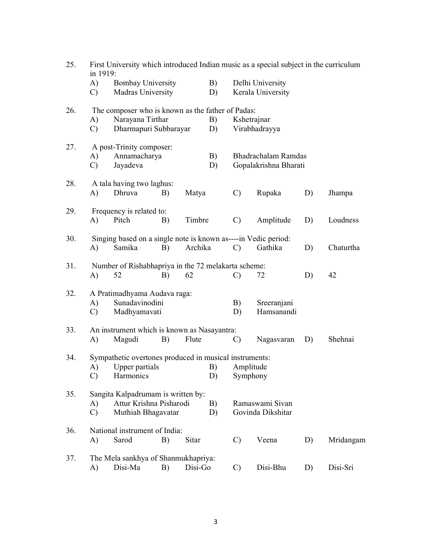| 25. | in 1919:      |                                                                |    |         |          | First University which introduced Indian music as a special subject in the curriculum |                                       |    |           |  |  |  |
|-----|---------------|----------------------------------------------------------------|----|---------|----------|---------------------------------------------------------------------------------------|---------------------------------------|----|-----------|--|--|--|
|     | A)<br>C)      | <b>Bombay University</b><br>Madras University                  |    |         | B)<br>D) |                                                                                       | Delhi University<br>Kerala University |    |           |  |  |  |
| 26. |               | The composer who is known as the father of Padas:              |    |         |          |                                                                                       |                                       |    |           |  |  |  |
|     | A)            | Narayana Tirthar                                               |    |         | B)       | Kshetrajnar                                                                           |                                       |    |           |  |  |  |
|     | $\mathcal{C}$ | Dharmapuri Subbarayar                                          |    |         | D)       |                                                                                       | Virabhadrayya                         |    |           |  |  |  |
| 27. |               | A post-Trinity composer:                                       |    |         |          |                                                                                       |                                       |    |           |  |  |  |
|     | A)            | Annamacharya                                                   |    |         | B)       |                                                                                       | Bhadrachalam Ramdas                   |    |           |  |  |  |
|     | $\mathcal{C}$ | Jayadeva                                                       |    |         | D)       |                                                                                       | Gopalakrishna Bharati                 |    |           |  |  |  |
| 28. |               | A tala having two laghus:                                      |    |         |          |                                                                                       |                                       |    |           |  |  |  |
|     | A)            | Dhruva                                                         | B) | Matya   |          | $\mathcal{C}$                                                                         | Rupaka                                | D) | Jhampa    |  |  |  |
| 29. |               | Frequency is related to:                                       |    |         |          |                                                                                       |                                       |    |           |  |  |  |
|     | A)            | Pitch                                                          | B) | Timbre  |          | $\mathcal{C}$                                                                         | Amplitude                             | D) | Loudness  |  |  |  |
| 30. |               | Singing based on a single note is known as----in Vedic period: |    |         |          |                                                                                       |                                       |    |           |  |  |  |
|     | A)            | Samika                                                         | B) | Archika |          | $\mathcal{C}$                                                                         | Gathika                               | D) | Chaturtha |  |  |  |
| 31. |               | Number of Rishabhapriya in the 72 melakarta scheme:            |    |         |          |                                                                                       |                                       |    |           |  |  |  |
|     | A)            | 52                                                             | B) | 62      |          | $\mathcal{C}$                                                                         | 72                                    | D) | 42        |  |  |  |
| 32. |               | A Pratimadhyama Audava raga:                                   |    |         |          |                                                                                       |                                       |    |           |  |  |  |
|     | A)            | Sunadavinodini                                                 |    |         |          | B)                                                                                    | Sreeranjani                           |    |           |  |  |  |
|     | C)            | Madhyamavati                                                   |    |         |          | D)                                                                                    | Hamsanandi                            |    |           |  |  |  |
| 33. |               | An instrument which is known as Nasayantra:                    |    |         |          |                                                                                       |                                       |    |           |  |  |  |
|     | A)            | Magudi                                                         | B) | Flute   |          | $\mathcal{C}$                                                                         | Nagasvaran                            | D) | Shehnai   |  |  |  |
| 34. |               | Sympathetic overtones produced in musical instruments:         |    |         |          |                                                                                       |                                       |    |           |  |  |  |
|     | A)            | Upper partials                                                 |    |         | B)       |                                                                                       | Amplitude                             |    |           |  |  |  |
|     | C)            | Harmonics                                                      |    |         | D)       |                                                                                       | Symphony                              |    |           |  |  |  |
| 35. |               | Sangita Kalpadrumam is written by:                             |    |         |          |                                                                                       |                                       |    |           |  |  |  |
|     | A)            | Attur Krishna Pisharodi                                        |    |         | B)       |                                                                                       | Ramaswami Sivan                       |    |           |  |  |  |
|     | $\mathcal{C}$ | Muthiah Bhagavatar                                             |    |         | D)       |                                                                                       | Govinda Dikshitar                     |    |           |  |  |  |
| 36. |               | National instrument of India:                                  |    |         |          |                                                                                       |                                       |    |           |  |  |  |
|     | A)            | Sarod                                                          | B) | Sitar   |          | $\mathcal{C}$                                                                         | Veena                                 | D) | Mridangam |  |  |  |
| 37. |               | The Mela sankhya of Shanmukhapriya:                            |    |         |          |                                                                                       |                                       |    |           |  |  |  |
|     | A)            | Disi-Ma                                                        | B) | Disi-Go |          | $\mathcal{C}$                                                                         | Disi-Bhu                              | D) | Disi-Sri  |  |  |  |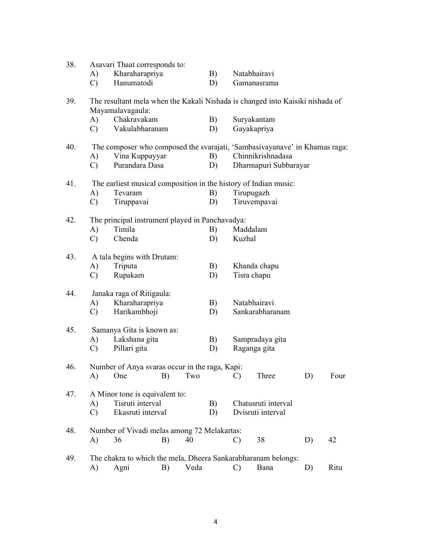| 38. |               | Asavari Thaat corresponds to:                                                                     |    |      |          |               |                       |    |      |
|-----|---------------|---------------------------------------------------------------------------------------------------|----|------|----------|---------------|-----------------------|----|------|
|     | A)            | Kharaharapriya                                                                                    |    |      | B)       |               | Natabhairavi          |    |      |
|     | $\mathcal{C}$ | Hanumatodi                                                                                        |    |      | D)       |               | Gamanasrama           |    |      |
| 39. |               | The resultant mela when the Kakali Nishada is changed into Kaisiki nishada of<br>Mayamalavagaula: |    |      |          |               |                       |    |      |
|     | A)            | Chakravakam                                                                                       |    |      | B)       |               | Suryakantam           |    |      |
|     | $\mathcal{C}$ | Vakulabharanam                                                                                    |    |      | D)       |               | Gayakapriya           |    |      |
| 40. |               | The composer who composed the svarajati, 'Sambasivayanave' in Khamas raga:                        |    |      |          |               |                       |    |      |
|     | A)            | Vina Kuppayyar                                                                                    |    |      | B)       |               | Chinnikrishnadasa     |    |      |
|     | $\mathcal{C}$ | Purandara Dasa                                                                                    |    |      | D)       |               | Dharmapuri Subbarayar |    |      |
| 41. |               | The earliest musical composition in the history of Indian music:                                  |    |      |          |               |                       |    |      |
|     | A)            | Tevaram                                                                                           |    |      | B)       | Tirupugazh    |                       |    |      |
|     | $\mathcal{C}$ | Tiruppavai                                                                                        |    |      | D)       |               | Tiruvempavai          |    |      |
| 42. |               | The principal instrument played in Panchavadya:                                                   |    |      |          |               |                       |    |      |
|     | A)            | Timila                                                                                            |    |      | B)       | Maddalam      |                       |    |      |
|     | $\mathcal{C}$ | Chenda                                                                                            |    |      | D)       | Kuzhal        |                       |    |      |
| 43. |               | A tala begins with Drutam:                                                                        |    |      |          |               |                       |    |      |
|     | A)            | Triputa                                                                                           |    |      | B)       |               | Khanda chapu          |    |      |
|     | $\mathcal{C}$ | Rupakam                                                                                           |    |      | D)       | Tisra chapu   |                       |    |      |
|     |               |                                                                                                   |    |      |          |               |                       |    |      |
| 44. |               | Janaka raga of Ritigaula:                                                                         |    |      |          |               |                       |    |      |
|     | A)            | Kharaharapriya                                                                                    |    |      | B)       |               | Natabhairavi          |    |      |
|     | $\mathcal{C}$ | Harikambhoji                                                                                      |    |      | D)       |               | Sankarabharanam       |    |      |
| 45. |               | Samanya Gita is known as:                                                                         |    |      |          |               |                       |    |      |
|     | A)            | Lakshana gita                                                                                     |    |      | B)       |               | Sampradaya gita       |    |      |
|     | $\mathcal{C}$ | Pillari gita                                                                                      |    |      | D)       |               | Raganga gita          |    |      |
| 46. |               | Number of Anya svaras occur in the raga, Kapi:                                                    |    |      |          |               |                       |    |      |
|     |               | A) One B)                                                                                         |    |      | $Two$ C) |               | Three                 | D) | Four |
| 47. |               | A Minor tone is equivalent to:                                                                    |    |      |          |               |                       |    |      |
|     | A)            | Tisruti interval                                                                                  |    |      | B)       |               | Chatusruti interval   |    |      |
|     | $\mathcal{C}$ | Ekasruti interval                                                                                 |    |      | D)       |               | Dvisruti interval     |    |      |
| 48. |               | Number of Vivadi melas among 72 Melakartas:                                                       |    |      |          |               |                       |    |      |
|     | A)            | 36                                                                                                | B) | 40   |          | $\mathcal{C}$ | 38                    | D) | 42   |
| 49. |               | The chakra to which the mela, Dheera Sankarabharanam belongs:                                     |    |      |          |               |                       |    |      |
|     | A)            | Agni                                                                                              | B) | Veda |          | $\mathcal{C}$ | Bana                  | D) | Ritu |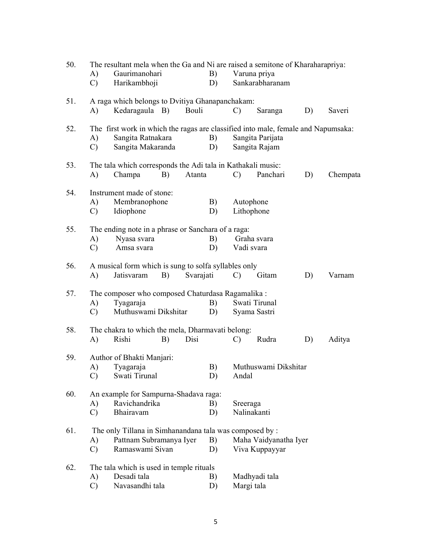| 50. | A)<br>$\mathcal{C}$ | The resultant mela when the Ga and Ni are raised a semitone of Kharaharapriya:<br>Gaurimanohari<br>Harikambhoji             |           | B)<br>D) |               | Varuna priya<br>Sankarabharanam         |    |          |
|-----|---------------------|-----------------------------------------------------------------------------------------------------------------------------|-----------|----------|---------------|-----------------------------------------|----|----------|
| 51. | A)                  | A raga which belongs to Dvitiya Ghanapanchakam:<br>Kedaragaula B)                                                           | Bouli     |          | $\mathcal{C}$ | Saranga                                 | D) | Saveri   |
| 52. | A)<br>$\mathcal{C}$ | The first work in which the ragas are classified into male, female and Napumsaka:<br>Sangita Ratnakara<br>Sangita Makaranda |           | B)<br>D) |               | Sangita Parijata<br>Sangita Rajam       |    |          |
| 53. | A)                  | The tala which corresponds the Adi tala in Kathakali music:<br>Champa<br>B)                                                 | Atanta    |          | $\mathcal{C}$ | Panchari                                | D) | Chempata |
| 54. | A)<br>$\mathcal{C}$ | Instrument made of stone:<br>Membranophone<br>Idiophone                                                                     |           | B)<br>D) |               | Autophone<br>Lithophone                 |    |          |
| 55. | A)<br>$\mathcal{C}$ | The ending note in a phrase or Sanchara of a raga:<br>Nyasa svara<br>Amsa svara                                             |           | B)<br>D) |               | Graha svara<br>Vadi svara               |    |          |
| 56. | A)                  | A musical form which is sung to solfa syllables only<br>B)<br>Jatisvaram                                                    | Svarajati |          | $\mathcal{C}$ | Gitam                                   | D) | Varnam   |
| 57. | A)<br>$\mathcal{C}$ | The composer who composed Chaturdasa Ragamalika :<br>Tyagaraja<br>Muthuswami Dikshitar                                      |           | B)<br>D) |               | Swati Tirunal<br>Syama Sastri           |    |          |
| 58. | A)                  | The chakra to which the mela, Dharmavati belong:<br>Rishi<br>B)                                                             | Disi      |          | $\mathcal{C}$ | Rudra                                   | D) | Aditya   |
| 59. | A)<br>C)            | Author of Bhakti Manjari:<br>Tyagaraja<br>Swati Tirunal                                                                     |           | B)<br>D) | Andal         | Muthuswami Dikshitar                    |    |          |
| 60. | A)<br>$\mathcal{C}$ | An example for Sampurna-Shadava raga:<br>Ravichandrika<br>Bhairavam                                                         |           | B)<br>D) | Sreeraga      | Nalinakanti                             |    |          |
| 61. | A)<br>$\mathcal{C}$ | The only Tillana in Simhanandana tala was composed by :<br>Pattnam Subramanya Iyer<br>Ramaswami Sivan                       |           | B)<br>D) |               | Maha Vaidyanatha Iyer<br>Viva Kuppayyar |    |          |
| 62. | A)<br>$\mathcal{C}$ | The tala which is used in temple rituals<br>Desadi tala<br>Navasandhi tala                                                  |           | B)<br>D) | Margi tala    | Madhyadi tala                           |    |          |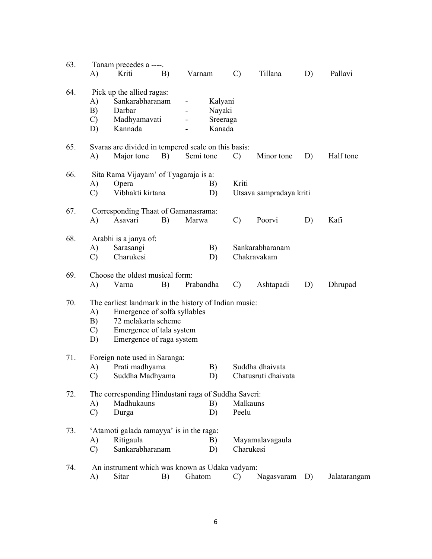| 63. |                               | Tanam precedes a ----.                                |    |                                                     |               |                         |    |              |  |  |  |  |  |
|-----|-------------------------------|-------------------------------------------------------|----|-----------------------------------------------------|---------------|-------------------------|----|--------------|--|--|--|--|--|
|     | A)                            | Kriti                                                 | B) | Varnam                                              | $\mathcal{C}$ | Tillana                 | D) | Pallavi      |  |  |  |  |  |
| 64. |                               | Pick up the allied ragas:                             |    |                                                     |               |                         |    |              |  |  |  |  |  |
|     | A)                            | Sankarabharanam                                       |    | Kalyani                                             |               |                         |    |              |  |  |  |  |  |
|     | B)                            | Darbar                                                |    | Nayaki                                              |               |                         |    |              |  |  |  |  |  |
|     | $\mathcal{C}$                 | Madhyamavati                                          |    |                                                     | Sreeraga      |                         |    |              |  |  |  |  |  |
|     | D)                            | Kannada                                               |    | Kanada                                              |               |                         |    |              |  |  |  |  |  |
| 65. |                               |                                                       |    | Svaras are divided in tempered scale on this basis: |               |                         |    |              |  |  |  |  |  |
|     | A)                            | Major tone                                            | B) | Semi tone                                           | $\mathcal{C}$ | Minor tone              | D) | Half tone    |  |  |  |  |  |
| 66. |                               | Sita Rama Vijayam' of Tyagaraja is a:                 |    |                                                     |               |                         |    |              |  |  |  |  |  |
|     | A)                            | Opera                                                 |    | B)                                                  | Kriti         |                         |    |              |  |  |  |  |  |
|     | $\mathcal{C}$                 | Vibhakti kirtana                                      |    | D)                                                  |               | Utsava sampradaya kriti |    |              |  |  |  |  |  |
| 67. |                               | Corresponding Thaat of Gamanasrama:                   |    |                                                     |               |                         |    |              |  |  |  |  |  |
|     | A)                            | Asavari                                               | B) | Marwa                                               | $\mathcal{C}$ | Poorvi                  | D) | Kafi         |  |  |  |  |  |
| 68. |                               | Arabhi is a janya of:                                 |    |                                                     |               |                         |    |              |  |  |  |  |  |
|     | A)                            | Sarasangi                                             |    | B)                                                  |               | Sankarabharanam         |    |              |  |  |  |  |  |
|     | $\mathcal{C}$                 | Charukesi                                             |    | D)                                                  |               | Chakravakam             |    |              |  |  |  |  |  |
| 69. |                               | Choose the oldest musical form:                       |    |                                                     |               |                         |    |              |  |  |  |  |  |
|     | A)                            | Varna                                                 | B) | Prabandha                                           | $\mathcal{C}$ | Ashtapadi               | D) | Dhrupad      |  |  |  |  |  |
| 70. |                               | The earliest landmark in the history of Indian music: |    |                                                     |               |                         |    |              |  |  |  |  |  |
|     | A)                            | Emergence of solfa syllables                          |    |                                                     |               |                         |    |              |  |  |  |  |  |
|     | B)                            | 72 melakarta scheme                                   |    |                                                     |               |                         |    |              |  |  |  |  |  |
|     | $\mathcal{C}$                 | Emergence of tala system                              |    |                                                     |               |                         |    |              |  |  |  |  |  |
|     | D)                            | Emergence of raga system                              |    |                                                     |               |                         |    |              |  |  |  |  |  |
| 71. | Foreign note used in Saranga: |                                                       |    |                                                     |               |                         |    |              |  |  |  |  |  |
|     | A)                            | Prati madhyama                                        |    | B)                                                  |               | Suddha dhaivata         |    |              |  |  |  |  |  |
|     | $\mathbf{C}$ )                | Suddha Madhyama                                       |    | D)                                                  |               | Chatusruti dhaivata     |    |              |  |  |  |  |  |
| 72. |                               |                                                       |    | The corresponding Hindustani raga of Suddha Saveri: |               |                         |    |              |  |  |  |  |  |
|     | A)                            | Madhukauns                                            |    | B)                                                  | Malkauns      |                         |    |              |  |  |  |  |  |
|     | $\mathcal{C}$                 | Durga                                                 |    | D)                                                  | Peelu         |                         |    |              |  |  |  |  |  |
| 73. |                               | 'Atamoti galada ramayya' is in the raga:              |    |                                                     |               |                         |    |              |  |  |  |  |  |
|     | A)                            | Ritigaula                                             |    | B)                                                  |               | Mayamalavagaula         |    |              |  |  |  |  |  |
|     | $\mathcal{C}$                 | Sankarabharanam                                       |    | D)                                                  |               | Charukesi               |    |              |  |  |  |  |  |
| 74. |                               |                                                       |    | An instrument which was known as Udaka vadyam:      |               |                         |    |              |  |  |  |  |  |
|     | A)                            | Sitar                                                 | B) | Ghatom                                              | $\mathcal{C}$ | Nagasvaram              | D) | Jalatarangam |  |  |  |  |  |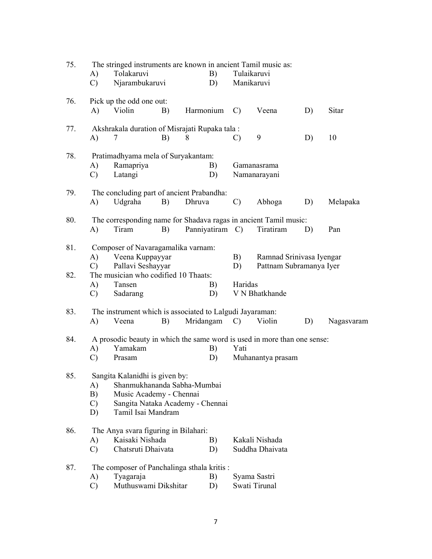| 75.        | A)<br>$\mathcal{C}$             | The stringed instruments are known in ancient Tamil music as:<br>Tolakaruvi<br>Njarambukaruvi                                                      |    |           | B)<br>D)        | Tulaikaruvi<br>Manikaruvi |                                                     |    |            |
|------------|---------------------------------|----------------------------------------------------------------------------------------------------------------------------------------------------|----|-----------|-----------------|---------------------------|-----------------------------------------------------|----|------------|
| 76.        | A)                              | Pick up the odd one out:<br>Violin                                                                                                                 | B) | Harmonium |                 | $\mathcal{C}$             | Veena                                               | D) | Sitar      |
| 77.        | A)                              | Akshrakala duration of Misrajati Rupaka tala:<br>7                                                                                                 | B) | 8         |                 | $\mathcal{C}$             | 9                                                   | D) | 10         |
| 78.        | A)<br>$\mathcal{C}$             | Pratimadhyama mela of Suryakantam:<br>Ramapriya<br>Latangi                                                                                         |    |           | B)<br>D)        |                           | Gamanasrama<br>Namanarayani                         |    |            |
| 79.        | A)                              | The concluding part of ancient Prabandha:<br>Udgraha                                                                                               | B) | Dhruva    |                 | $\mathcal{C}$             | Abhoga                                              | D) | Melapaka   |
| 80.        | A)                              | The corresponding name for Shadava ragas in ancient Tamil music:<br>Tiram                                                                          | B) |           | Panniyatiram C) |                           | Tiratiram                                           | D) | Pan        |
| 81.<br>82. | A)<br>$\mathcal{C}$             | Composer of Navaragamalika varnam:<br>Veena Kuppayyar<br>Pallavi Seshayyar<br>The musician who codified 10 Thaats:                                 |    |           |                 | B)<br>D)                  | Ramnad Srinivasa Iyengar<br>Pattnam Subramanya Iyer |    |            |
|            | A)<br>$\mathcal{C}$             | Tansen<br>Sadarang                                                                                                                                 |    |           | B)<br>D)        | Haridas                   | V N Bhatkhande                                      |    |            |
| 83.        | A)                              | The instrument which is associated to Lalgudi Jayaraman:<br>Veena                                                                                  | B) |           | Mridangam C)    |                           | Violin                                              | D) | Nagasvaram |
| 84.        | A)<br>C)                        | A prosodic beauty in which the same word is used in more than one sense:<br>Yamakam<br>Prasam                                                      |    |           | B)<br>D)        | Yati                      | Muhanantya prasam                                   |    |            |
| 85.        | A)<br>B)<br>$\mathcal{C}$<br>D) | Sangita Kalanidhi is given by:<br>Shanmukhananda Sabha-Mumbai<br>Music Academy - Chennai<br>Sangita Nataka Academy - Chennai<br>Tamil Isai Mandram |    |           |                 |                           |                                                     |    |            |
| 86.        | A)<br>$\mathcal{C}$             | The Anya svara figuring in Bilahari:<br>Kaisaki Nishada<br>Chatsruti Dhaivata                                                                      |    |           | B)<br>D)        |                           | Kakali Nishada<br>Suddha Dhaivata                   |    |            |
| 87.        | A)<br>$\mathcal{C}$             | The composer of Panchalinga sthala kritis :<br>Tyagaraja<br>Muthuswami Dikshitar                                                                   |    |           | B)<br>D)        |                           | Syama Sastri<br>Swati Tirunal                       |    |            |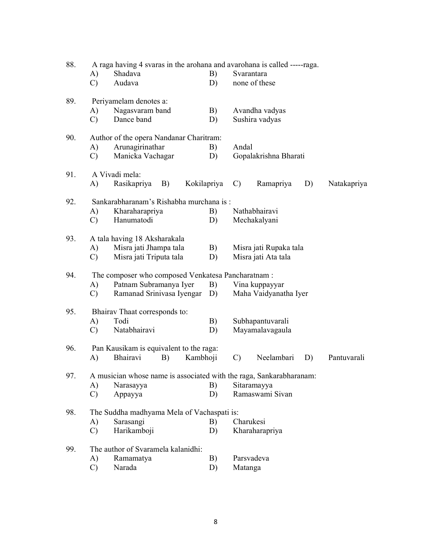| 88. | A raga having 4 svaras in the arohana and avarohana is called -----raga. |                                                                     |          |             |               |                        |    |             |  |  |  |
|-----|--------------------------------------------------------------------------|---------------------------------------------------------------------|----------|-------------|---------------|------------------------|----|-------------|--|--|--|
|     | A)                                                                       | Shadava                                                             |          | B)          |               | Svarantara             |    |             |  |  |  |
|     | $\mathcal{C}$                                                            | Audava                                                              |          | D)          |               | none of these          |    |             |  |  |  |
| 89. |                                                                          | Periyamelam denotes a:                                              |          |             |               |                        |    |             |  |  |  |
|     | A)                                                                       | Nagasvaram band                                                     |          | B)          |               | Avandha vadyas         |    |             |  |  |  |
|     | $\mathcal{C}$                                                            | Dance band                                                          |          | D)          |               | Sushira vadyas         |    |             |  |  |  |
| 90. |                                                                          | Author of the opera Nandanar Charitram:                             |          |             |               |                        |    |             |  |  |  |
|     | A)                                                                       | Arunagirinathar                                                     |          | B)          | Andal         |                        |    |             |  |  |  |
|     | $\mathcal{C}$                                                            | Manicka Vachagar                                                    |          | D)          |               | Gopalakrishna Bharati  |    |             |  |  |  |
| 91. |                                                                          | A Vivadi mela:                                                      |          |             |               |                        |    |             |  |  |  |
|     | A)                                                                       | Rasikapriya<br>B)                                                   |          | Kokilapriya | $\mathcal{C}$ | Ramapriya              | D) | Natakapriya |  |  |  |
| 92. |                                                                          | Sankarabharanam's Rishabha murchana is:                             |          |             |               |                        |    |             |  |  |  |
|     | A)                                                                       | Kharaharapriya                                                      |          | B)          |               | Nathabhairavi          |    |             |  |  |  |
|     | $\mathcal{C}$                                                            | Hanumatodi                                                          |          | D)          |               | Mechakalyani           |    |             |  |  |  |
| 93. |                                                                          | A tala having 18 Aksharakala                                        |          |             |               |                        |    |             |  |  |  |
|     | A)                                                                       | Misra jati Jhampa tala                                              |          | B)          |               | Misra jati Rupaka tala |    |             |  |  |  |
|     | $\mathcal{C}$                                                            | Misra jati Triputa tala                                             |          | D)          |               | Misra jati Ata tala    |    |             |  |  |  |
| 94. |                                                                          | The composer who composed Venkatesa Pancharatnam :                  |          |             |               |                        |    |             |  |  |  |
|     | A)                                                                       | Patnam Subramanya Iyer                                              |          | B)          |               | Vina kuppayyar         |    |             |  |  |  |
|     | C)                                                                       | Ramanad Srinivasa Iyengar                                           |          | D)          |               | Maha Vaidyanatha Iyer  |    |             |  |  |  |
| 95. |                                                                          | Bhairav Thaat corresponds to:                                       |          |             |               |                        |    |             |  |  |  |
|     | A)                                                                       | Todi                                                                |          | B)          |               | Subhapantuvarali       |    |             |  |  |  |
|     | $\mathcal{C}$                                                            | Natabhairavi                                                        |          | D)          |               | Mayamalavagaula        |    |             |  |  |  |
| 96. |                                                                          | Pan Kausikam is equivalent to the raga:                             |          |             |               |                        |    |             |  |  |  |
|     | A)                                                                       | Bhairavi<br>B)                                                      | Kambhoji |             | $\mathcal{C}$ | Neelambari             | D) | Pantuvarali |  |  |  |
| 97. |                                                                          | A musician whose name is associated with the raga, Sankarabharanam: |          |             |               |                        |    |             |  |  |  |
|     | A)                                                                       | Narasayya                                                           |          | B)          |               | Sitaramayya            |    |             |  |  |  |
|     | $\mathcal{C}$                                                            | Appayya                                                             |          | D)          |               | Ramaswami Sivan        |    |             |  |  |  |
| 98. |                                                                          | The Suddha madhyama Mela of Vachaspati is:                          |          |             |               |                        |    |             |  |  |  |
|     | A)                                                                       | Sarasangi                                                           |          | B)          |               | Charukesi              |    |             |  |  |  |
|     | $\mathcal{C}$                                                            | Harikamboji                                                         |          | D)          |               | Kharaharapriya         |    |             |  |  |  |
| 99. |                                                                          | The author of Svaramela kalanidhi:                                  |          |             |               |                        |    |             |  |  |  |
|     | A)                                                                       | Ramamatya                                                           |          | B)          |               | Parsvadeva             |    |             |  |  |  |
|     | $\mathcal{C}$                                                            | Narada                                                              |          | D)          | Matanga       |                        |    |             |  |  |  |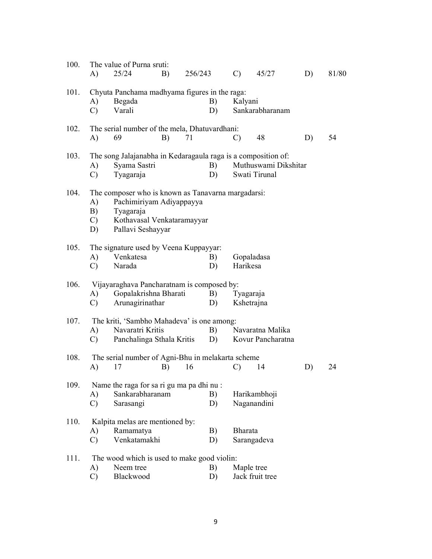| 100. | A)                              | The value of Purna sruti:<br>25/24                                                                                                             | B) | 256/243 |          | $\mathcal{C}$ )         | 45/27                                 | D) | 81/80 |
|------|---------------------------------|------------------------------------------------------------------------------------------------------------------------------------------------|----|---------|----------|-------------------------|---------------------------------------|----|-------|
| 101. | A)<br>$\mathcal{C}$             | Chyuta Panchama madhyama figures in the raga:<br>Begada<br>Varali                                                                              |    |         | B)<br>D) | Kalyani                 | Sankarabharanam                       |    |       |
| 102. | A)                              | The serial number of the mela, Dhatuvardhani:<br>69                                                                                            | B) | 71      |          | $\mathcal{C}$           | 48                                    | D) | 54    |
| 103. | A)<br>$\mathcal{C}$             | The song Jalajanabha in Kedaragaula raga is a composition of:<br>Syama Sastri<br>Tyagaraja                                                     |    |         | B)<br>D) |                         | Muthuswami Dikshitar<br>Swati Tirunal |    |       |
| 104. | A)<br>B)<br>$\mathcal{C}$<br>D) | The composer who is known as Tanavarna margadarsi:<br>Pachimiriyam Adiyappayya<br>Tyagaraja<br>Kothavasal Venkataramayyar<br>Pallavi Seshayyar |    |         |          |                         |                                       |    |       |
| 105. | A)<br>$\mathcal{C}$             | The signature used by Veena Kuppayyar:<br>Venkatesa<br>Narada                                                                                  |    |         | B)<br>D) | Harikesa                | Gopaladasa                            |    |       |
| 106. | A)<br>$\mathcal{C}$             | Vijayaraghava Pancharatnam is composed by:<br>Gopalakrishna Bharati<br>Arunagirinathar                                                         |    |         | B)<br>D) | Tyagaraja<br>Kshetrajna |                                       |    |       |
| 107. | A)<br>$\mathcal{C}$             | The kriti, 'Sambho Mahadeva' is one among:<br>Navaratri Kritis<br>Panchalinga Sthala Kritis                                                    |    |         | B)<br>D) |                         | Navaratna Malika<br>Kovur Pancharatna |    |       |
| 108. | A)                              | The serial number of Agni-Bhu in melakarta scheme<br>17                                                                                        | B) | 16      |          | $\mathcal{C}$           | 14                                    | D) | 24    |
| 109. | A)<br>$\mathcal{C}$             | Name the raga for sa ri gu ma pa dhi nu :<br>Sankarabharanam<br>Sarasangi                                                                      |    |         | B)<br>D) |                         | Harikambhoji<br>Naganandini           |    |       |
| 110. | A)<br>$\mathcal{C}$             | Kalpita melas are mentioned by:<br>Ramamatya<br>Venkatamakhi                                                                                   |    |         | B)<br>D) | Bharata                 | Sarangadeva                           |    |       |
| 111. | A)<br>$\mathcal{C}$             | The wood which is used to make good violin:<br>Neem tree<br>Blackwood                                                                          |    |         | B)<br>D) | Maple tree              | Jack fruit tree                       |    |       |